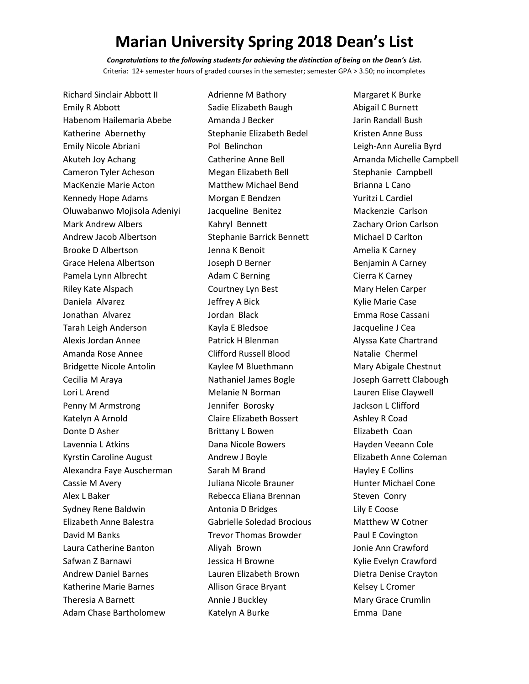*Congratulations to the following students for achieving the distinction of being on the Dean's List.*  Criteria: 12+ semester hours of graded courses in the semester; semester GPA > 3.50; no incompletes

Richard Sinclair Abbott II Emily R Abbott Habenom Hailemaria Abebe Katherine Abernethy Emily Nicole Abriani Akuteh Joy Achang Cameron Tyler Acheson MacKenzie Marie Acton Kennedy Hope Adams Oluwabanwo Mojisola Adeniyi Mark Andrew Albers Andrew Jacob Albertson Brooke D Albertson Grace Helena Albertson Pamela Lynn Albrecht Riley Kate Alspach Daniela Alvarez Jonathan Alvarez Tarah Leigh Anderson Alexis Jordan Annee Amanda Rose Annee Bridgette Nicole Antolin Cecilia M Araya Lori L Arend Penny M Armstrong Katelyn A Arnold Donte D Asher Lavennia L Atkins Kyrstin Caroline August Alexandra Faye Auscherman Cassie M Avery Alex L Baker Sydney Rene Baldwin Elizabeth Anne Balestra David M Banks Laura Catherine Banton Safwan Z Barnawi Andrew Daniel Barnes Katherine Marie Barnes Theresia A Barnett Adam Chase Bartholomew

Adrienne M Bathory Sadie Elizabeth Baugh Amanda J Becker Stephanie Elizabeth Bedel Pol Belinchon Catherine Anne Bell Megan Elizabeth Bell Matthew Michael Bend Morgan E Bendzen Jacqueline Benitez Kahryl Bennett Stephanie Barrick Bennett Jenna K Benoit Joseph D Berner Adam C Berning Courtney Lyn Best Jeffrey A Bick Jordan Black Kayla E Bledsoe Patrick H Blenman Clifford Russell Blood Kaylee M Bluethmann Nathaniel James Bogle Melanie N Borman Jennifer Borosky Claire Elizabeth Bossert Brittany L Bowen Dana Nicole Bowers Andrew J Boyle Sarah M Brand Juliana Nicole Brauner Rebecca Eliana Brennan Antonia D Bridges Gabrielle Soledad Brocious Trevor Thomas Browder Aliyah Brown Jessica H Browne Lauren Elizabeth Brown Allison Grace Bryant Annie J Buckley Katelyn A Burke

Margaret K Burke Abigail C Burnett Jarin Randall Bush Kristen Anne Buss Leigh-Ann Aurelia Byrd Amanda Michelle Campbell Stephanie Campbell Brianna L Cano Yuritzi L Cardiel Mackenzie Carlson Zachary Orion Carlson Michael D Carlton Amelia K Carney Benjamin A Carney Cierra K Carney Mary Helen Carper Kylie Marie Case Emma Rose Cassani Jacqueline J Cea Alyssa Kate Chartrand Natalie Chermel Mary Abigale Chestnut Joseph Garrett Clabough Lauren Elise Claywell Jackson L Clifford Ashley R Coad Elizabeth Coan Hayden Veeann Cole Elizabeth Anne Coleman Hayley E Collins Hunter Michael Cone Steven Conry Lily E Coose Matthew W Cotner Paul E Covington Jonie Ann Crawford Kylie Evelyn Crawford Dietra Denise Crayton Kelsey L Cromer Mary Grace Crumlin Emma Dane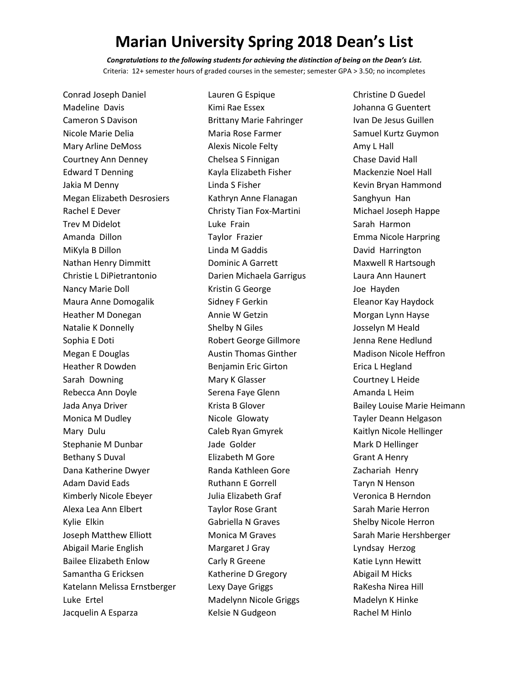*Congratulations to the following students for achieving the distinction of being on the Dean's List.*  Criteria: 12+ semester hours of graded courses in the semester; semester GPA > 3.50; no incompletes

Lauren G Espique

Conrad Joseph Daniel Madeline Davis Cameron S Davison Nicole Marie Delia Mary Arline DeMoss Courtney Ann Denney Edward T Denning Jakia M Denny Megan Elizabeth Desrosiers Rachel E Dever Trev M Didelot Amanda Dillon MiKyla B Dillon Nathan Henry Dimmitt Christie L DiPietrantonio Nancy Marie Doll Maura Anne Domogalik Heather M Donegan Natalie K Donnelly Sophia E Doti Megan E Douglas Heather R Dowden Sarah Downing Rebecca Ann Doyle Jada Anya Driver Monica M Dudley Mary Dulu Stephanie M Dunbar Bethany S Duval Dana Katherine Dwyer Adam David Eads Kimberly Nicole Ebeyer Alexa Lea Ann Elbert Kylie Elkin Joseph Matthew Elliott Abigail Marie English Bailee Elizabeth Enlow Samantha G Ericksen Katelann Melissa Ernstberger Luke Ertel Jacquelin A Esparza

Kimi Rae Essex Brittany Marie Fahringer Maria Rose Farmer Alexis Nicole Felty Chelsea S Finnigan Kayla Elizabeth Fisher Linda S Fisher Kathryn Anne Flanagan Christy Tian Fox-Martini Luke Frain Taylor Frazier Linda M Gaddis Dominic A Garrett Darien Michaela Garrigus Kristin G George Sidney F Gerkin Annie W Getzin Shelby N Giles Robert George Gillmore Austin Thomas Ginther Benjamin Eric Girton Mary K Glasser Serena Faye Glenn Krista B Glover Nicole Glowaty Caleb Ryan Gmyrek Jade Golder Elizabeth M Gore Randa Kathleen Gore Ruthann E Gorrell Julia Elizabeth Graf Taylor Rose Grant Gabriella N Graves Monica M Graves Margaret J Gray Carly R Greene Katherine D Gregory Lexy Daye Griggs Madelynn Nicole Griggs Kelsie N Gudgeon

Christine D Guedel Johanna G Guentert Ivan De Jesus Guillen Samuel Kurtz Guymon Amy L Hall Chase David Hall Mackenzie Noel Hall Kevin Bryan Hammond Sanghyun Han Michael Joseph Happe Sarah Harmon Emma Nicole Harpring David Harrington Maxwell R Hartsough Laura Ann Haunert Joe Hayden Eleanor Kay Haydock Morgan Lynn Hayse Josselyn M Heald Jenna Rene Hedlund Madison Nicole Heffron Erica L Hegland Courtney L Heide Amanda L Heim Bailey Louise Marie Heimann Tayler Deann Helgason Kaitlyn Nicole Hellinger Mark D Hellinger Grant A Henry Zachariah Henry Taryn N Henson Veronica B Herndon Sarah Marie Herron Shelby Nicole Herron Sarah Marie Hershberger Lyndsay Herzog Katie Lynn Hewitt Abigail M Hicks RaKesha Nirea Hill Madelyn K Hinke Rachel M Hinlo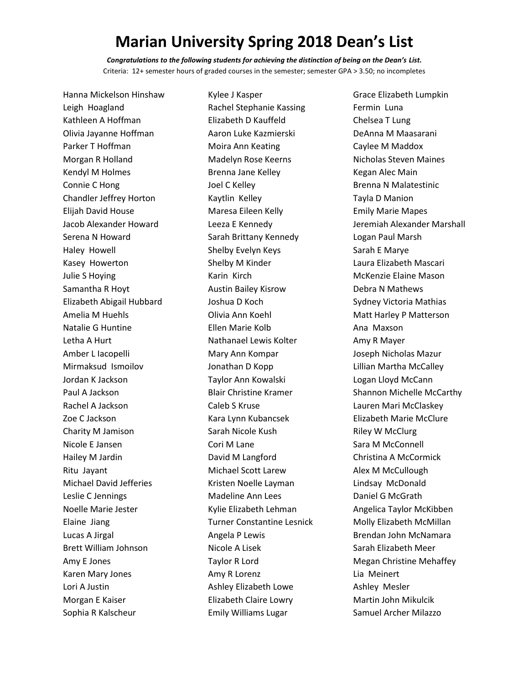*Congratulations to the following students for achieving the distinction of being on the Dean's List.*  Criteria: 12+ semester hours of graded courses in the semester; semester GPA > 3.50; no incompletes

Kylee J Kasper

Hanna Mickelson Hinshaw Leigh Hoagland Kathleen A Hoffman Olivia Jayanne Hoffman Parker T Hoffman Morgan R Holland Kendyl M Holmes Connie C Hong Chandler Jeffrey Horton Elijah David House Jacob Alexander Howard Serena N Howard Haley Howell Kasey Howerton Julie S Hoying Samantha R Hoyt Elizabeth Abigail Hubbard Amelia M Huehls Natalie G Huntine Letha A Hurt Amber L Iacopelli Mirmaksud Ismoilov Jordan K Jackson Paul A Jackson Rachel A Jackson Zoe C Jackson Charity M Jamison Nicole E Jansen Hailey M Jardin Ritu Jayant Michael David Jefferies Leslie C Jennings Noelle Marie Jester Elaine Jiang Lucas A Jirgal Brett William Johnson Amy E Jones Karen Mary Jones Lori A Justin Morgan E Kaiser Sophia R Kalscheur

Rachel Stephanie Kassing Elizabeth D Kauffeld Aaron Luke Kazmierski Moira Ann Keating Madelyn Rose Keerns Brenna Jane Kelley Joel C Kelley Kaytlin Kelley Maresa Eileen Kelly Leeza E Kennedy Sarah Brittany Kennedy Shelby Evelyn Keys Shelby M Kinder Karin Kirch Austin Bailey Kisrow Joshua D Koch Olivia Ann Koehl Ellen Marie Kolb Nathanael Lewis Kolter Mary Ann Kompar Jonathan D Kopp Taylor Ann Kowalski Blair Christine Kramer Caleb S Kruse Kara Lynn Kubancsek Sarah Nicole Kush Cori M Lane David M Langford Michael Scott Larew Kristen Noelle Layman Madeline Ann Lees Kylie Elizabeth Lehman Turner Constantine Lesnick Angela P Lewis Nicole A Lisek Taylor R Lord Amy R Lorenz Ashley Elizabeth Lowe Elizabeth Claire Lowry Emily Williams Lugar

Grace Elizabeth Lumpkin Fermin Luna Chelsea T Lung DeAnna M Maasarani Caylee M Maddox Nicholas Steven Maines Kegan Alec Main Brenna N Malatestinic Tayla D Manion Emily Marie Mapes Jeremiah Alexander Marshall Logan Paul Marsh Sarah E Marye Laura Elizabeth Mascari McKenzie Elaine Mason Debra N Mathews Sydney Victoria Mathias Matt Harley P Matterson Ana Maxson Amy R Mayer Joseph Nicholas Mazur Lillian Martha McCalley Logan Lloyd McCann Shannon Michelle McCarthy Lauren Mari McClaskey Elizabeth Marie McClure Riley W McClurg Sara M McConnell Christina A McCormick Alex M McCullough Lindsay McDonald Daniel G McGrath Angelica Taylor McKibben Molly Elizabeth McMillan Brendan John McNamara Sarah Elizabeth Meer Megan Christine Mehaffey Lia Meinert Ashley Mesler Martin John Mikulcik Samuel Archer Milazzo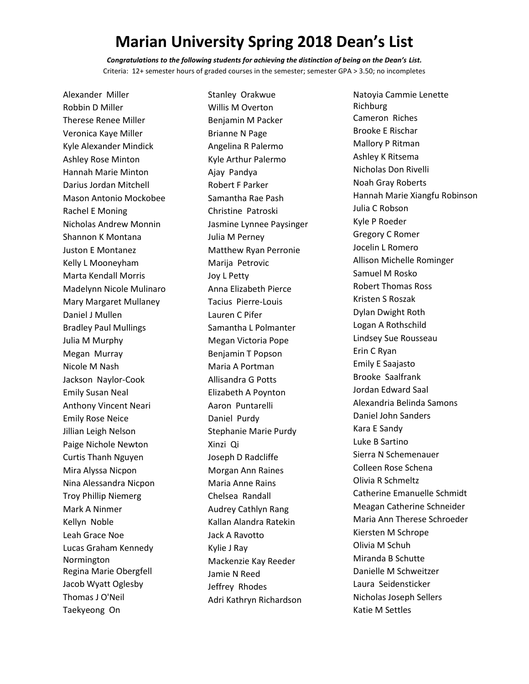*Congratulations to the following students for achieving the distinction of being on the Dean's List.*  Criteria: 12+ semester hours of graded courses in the semester; semester GPA > 3.50; no incompletes

Alexander Miller Robbin D Miller Therese Renee Miller Veronica Kaye Miller Kyle Alexander Mindick Ashley Rose Minton Hannah Marie Minton Darius Jordan Mitchell Mason Antonio Mockobee Rachel E Moning Nicholas Andrew Monnin Shannon K Montana Juston E Montanez Kelly L Mooneyham Marta Kendall Morris Madelynn Nicole Mulinaro Mary Margaret Mullaney Daniel J Mullen Bradley Paul Mullings Julia M Murphy Megan Murray Nicole M Nash Jackson Naylor-Cook Emily Susan Neal Anthony Vincent Neari Emily Rose Neice Jillian Leigh Nelson Paige Nichole Newton Curtis Thanh Nguyen Mira Alyssa Nicpon Nina Alessandra Nicpon Troy Phillip Niemerg Mark A Ninmer Kellyn Noble Leah Grace Noe Lucas Graham Kennedy Normington Regina Marie Obergfell Jacob Wyatt Oglesby Thomas J O'Neil Taekyeong On

Stanley Orakwue Willis M Overton Benjamin M Packer Brianne N Page Angelina R Palermo Kyle Arthur Palermo Ajay Pandya Robert F Parker Samantha Rae Pash Christine Patroski Jasmine Lynnee Paysinger Julia M Perney Matthew Ryan Perronie Marija Petrovic Joy L Petty Anna Elizabeth Pierce Tacius Pierre-Louis Lauren C Pifer Samantha L Polmanter Megan Victoria Pope Benjamin T Popson Maria A Portman Allisandra G Potts Elizabeth A Poynton Aaron Puntarelli Daniel Purdy Stephanie Marie Purdy Xinzi Qi Joseph D Radcliffe Morgan Ann Raines Maria Anne Rains Chelsea Randall Audrey Cathlyn Rang Kallan Alandra Ratekin Jack A Ravotto Kylie J Ray Mackenzie Kay Reeder Jamie N Reed Jeffrey Rhodes Adri Kathryn Richardson

Natoyia Cammie Lenette Richburg Cameron Riches Brooke E Rischar Mallory P Ritman Ashley K Ritsema Nicholas Don Rivelli Noah Gray Roberts Hannah Marie Xiangfu Robinson Julia C Robson Kyle P Roeder Gregory C Romer Jocelin L Romero Allison Michelle Rominger Samuel M Rosko Robert Thomas Ross Kristen S Roszak Dylan Dwight Roth Logan A Rothschild Lindsey Sue Rousseau Erin C Ryan Emily E Saajasto Brooke Saalfrank Jordan Edward Saal Alexandria Belinda Samons Daniel John Sanders Kara E Sandy Luke B Sartino Sierra N Schemenauer Colleen Rose Schena Olivia R Schmeltz Catherine Emanuelle Schmidt Meagan Catherine Schneider Maria Ann Therese Schroeder Kiersten M Schrope Olivia M Schuh Miranda B Schutte Danielle M Schweitzer Laura Seidensticker Nicholas Joseph Sellers Katie M Settles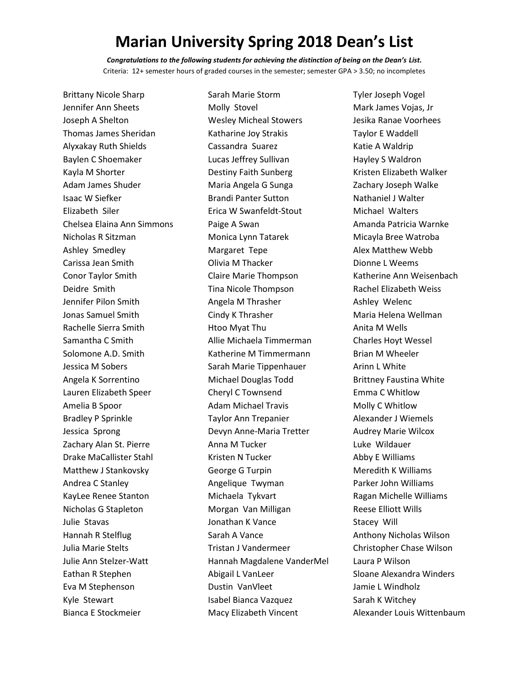*Congratulations to the following students for achieving the distinction of being on the Dean's List.*  Criteria: 12+ semester hours of graded courses in the semester; semester GPA > 3.50; no incompletes

Brittany Nicole Sharp Jennifer Ann Sheets Joseph A Shelton Thomas James Sheridan Alyxakay Ruth Shields Baylen C Shoemaker Kayla M Shorter Adam James Shuder Isaac W Siefker Elizabeth Siler Chelsea Elaina Ann Simmons Nicholas R Sitzman Ashley Smedley Carissa Jean Smith Conor Taylor Smith Deidre Smith Jennifer Pilon Smith Jonas Samuel Smith Rachelle Sierra Smith Samantha C Smith Solomone A.D. Smith Jessica M Sobers Angela K Sorrentino Lauren Elizabeth Speer Amelia B Spoor Bradley P Sprinkle Jessica Sprong Zachary Alan St. Pierre Drake MaCallister Stahl Matthew J Stankovsky Andrea C Stanley KayLee Renee Stanton Nicholas G Stapleton Julie Stavas Hannah R Stelflug Julia Marie Stelts Julie Ann Stelzer-Watt Eathan R Stephen Eva M Stephenson Kyle Stewart Bianca E Stockmeier

Sarah Marie Storm Molly Stovel Wesley Micheal Stowers Katharine Joy Strakis Cassandra Suarez Lucas Jeffrey Sullivan Destiny Faith Sunberg Maria Angela G Sunga Brandi Panter Sutton Erica W Swanfeldt-Stout Paige A Swan Monica Lynn Tatarek Margaret Tepe Olivia M Thacker Claire Marie Thompson Tina Nicole Thompson Angela M Thrasher Cindy K Thrasher Htoo Myat Thu Allie Michaela Timmerman Katherine M Timmermann Sarah Marie Tippenhauer Michael Douglas Todd Cheryl C Townsend Adam Michael Travis Taylor Ann Trepanier Devyn Anne-Maria Tretter Anna M Tucker Kristen N Tucker George G Turpin Angelique Twyman Michaela Tykvart Morgan Van Milligan Jonathan K Vance Sarah A Vance Tristan J Vandermeer Hannah Magdalene VanderMel Abigail L VanLeer Dustin VanVleet Isabel Bianca Vazquez Macy Elizabeth Vincent

Tyler Joseph Vogel Mark James Vojas, Jr Jesika Ranae Voorhees Taylor E Waddell Katie A Waldrip Hayley S Waldron Kristen Elizabeth Walker Zachary Joseph Walke Nathaniel J Walter Michael Walters Amanda Patricia Warnke Micayla Bree Watroba Alex Matthew Webb Dionne L Weems Katherine Ann Weisenbach Rachel Elizabeth Weiss Ashley Welenc Maria Helena Wellman Anita M Wells Charles Hoyt Wessel Brian M Wheeler Arinn L White Brittney Faustina White Emma C Whitlow Molly C Whitlow Alexander J Wiemels Audrey Marie Wilcox Luke Wildauer Abby E Williams Meredith K Williams Parker John Williams Ragan Michelle Williams Reese Elliott Wills Stacey Will Anthony Nicholas Wilson Christopher Chase Wilson Laura P Wilson Sloane Alexandra Winders Jamie L Windholz Sarah K Witchey Alexander Louis Wittenbaum